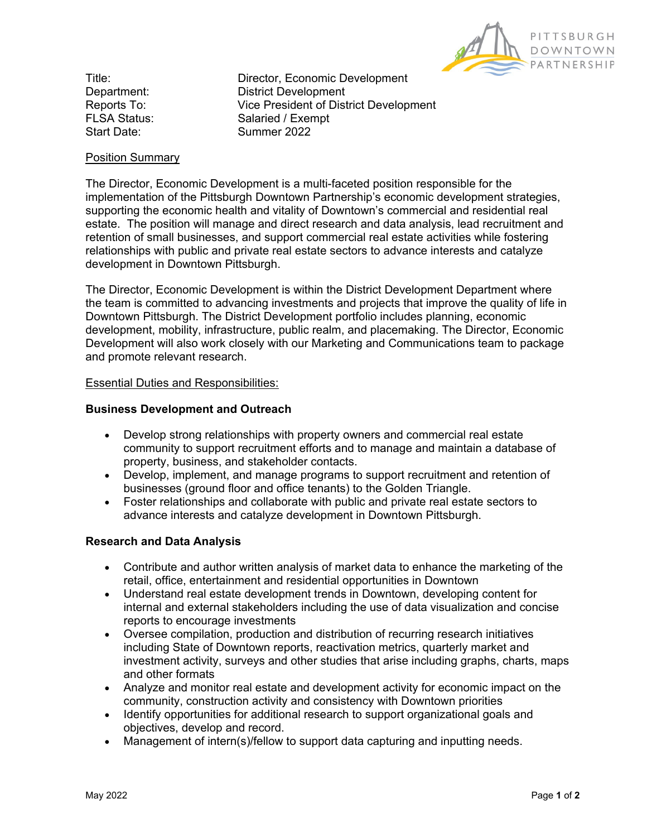

Title: Director, Economic Development Department: District Development Reports To: Vice President of District Development FLSA Status: Salaried / Exempt Start Date: Summer 2022

# Position Summary

The Director, Economic Development is a multi-faceted position responsible for the implementation of the Pittsburgh Downtown Partnership's economic development strategies, supporting the economic health and vitality of Downtown's commercial and residential real estate. The position will manage and direct research and data analysis, lead recruitment and retention of small businesses, and support commercial real estate activities while fostering relationships with public and private real estate sectors to advance interests and catalyze development in Downtown Pittsburgh.

The Director, Economic Development is within the District Development Department where the team is committed to advancing investments and projects that improve the quality of life in Downtown Pittsburgh. The District Development portfolio includes planning, economic development, mobility, infrastructure, public realm, and placemaking. The Director, Economic Development will also work closely with our Marketing and Communications team to package and promote relevant research.

## Essential Duties and Responsibilities:

## **Business Development and Outreach**

- Develop strong relationships with property owners and commercial real estate community to support recruitment efforts and to manage and maintain a database of property, business, and stakeholder contacts.
- Develop, implement, and manage programs to support recruitment and retention of businesses (ground floor and office tenants) to the Golden Triangle.
- Foster relationships and collaborate with public and private real estate sectors to advance interests and catalyze development in Downtown Pittsburgh.

## **Research and Data Analysis**

- Contribute and author written analysis of market data to enhance the marketing of the retail, office, entertainment and residential opportunities in Downtown
- Understand real estate development trends in Downtown, developing content for internal and external stakeholders including the use of data visualization and concise reports to encourage investments
- Oversee compilation, production and distribution of recurring research initiatives including State of Downtown reports, reactivation metrics, quarterly market and investment activity, surveys and other studies that arise including graphs, charts, maps and other formats
- Analyze and monitor real estate and development activity for economic impact on the community, construction activity and consistency with Downtown priorities
- Identify opportunities for additional research to support organizational goals and objectives, develop and record.
- Management of intern(s)/fellow to support data capturing and inputting needs.